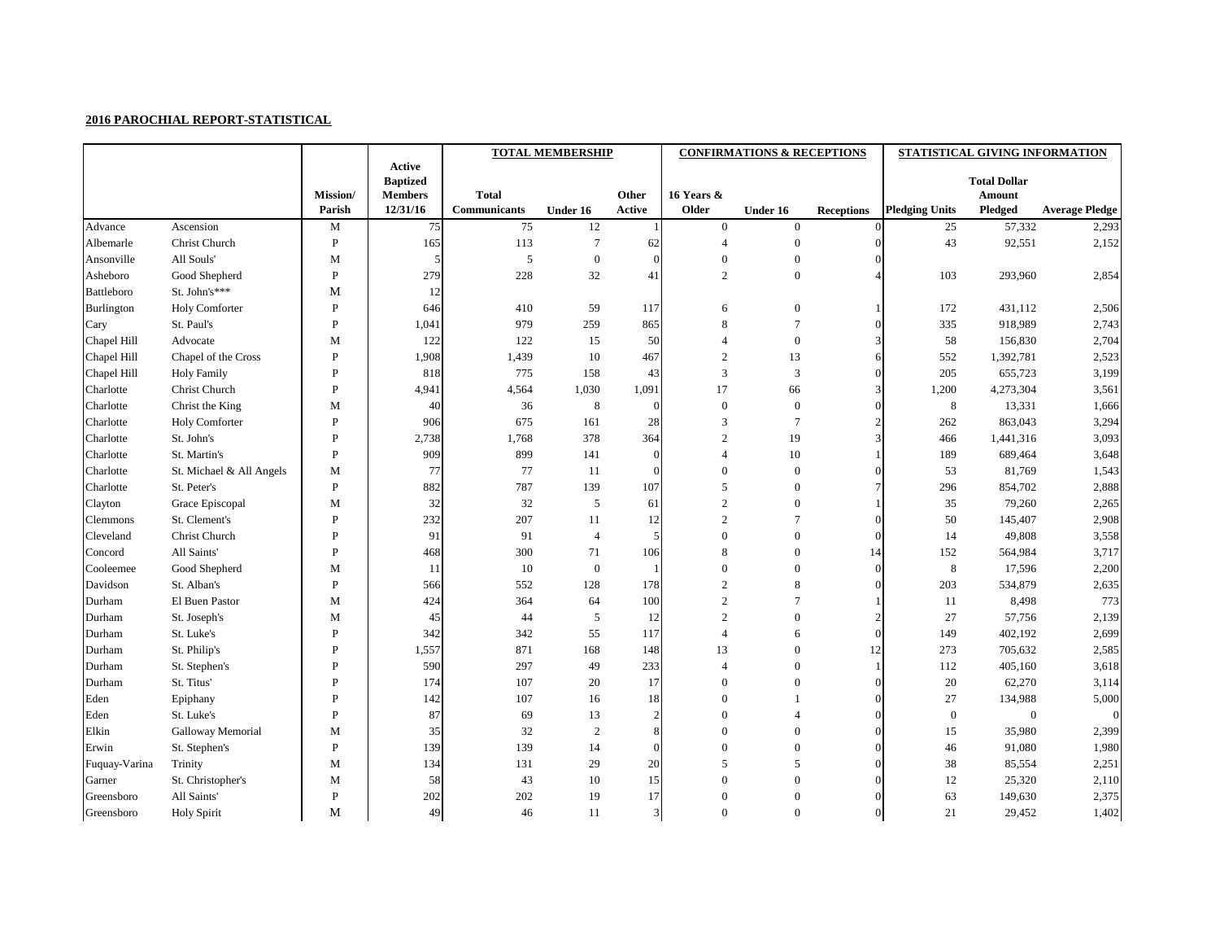|               |                          |              |                           | <b>TOTAL MEMBERSHIP</b> |                 |              |                  | <b>CONFIRMATIONS &amp; RECEPTIONS</b> |                   | STATISTICAL GIVING INFORMATION |                     |                       |  |
|---------------|--------------------------|--------------|---------------------------|-------------------------|-----------------|--------------|------------------|---------------------------------------|-------------------|--------------------------------|---------------------|-----------------------|--|
|               |                          |              | Active<br><b>Baptized</b> |                         |                 |              |                  |                                       |                   |                                | <b>Total Dollar</b> |                       |  |
|               |                          | Mission/     | <b>Members</b>            | <b>Total</b>            |                 | Other        | 16 Years &       |                                       |                   |                                | <b>Amount</b>       |                       |  |
|               |                          | Parish       | 12/31/16                  | <b>Communicants</b>     | <b>Under 16</b> | Active       | Older            | Under 16                              | <b>Receptions</b> | <b>Pledging Units</b>          | Pledged             | <b>Average Pledge</b> |  |
| Advance       | Ascension                | M            | 75                        | 75                      | 12              |              | $\boldsymbol{0}$ | $\mathbf{0}$                          |                   | 25                             | 57,332              | 2,293                 |  |
| Albemarle     | Christ Church            | $\, {\bf P}$ | 165                       | 113                     |                 | 62           | $\overline{4}$   | $\overline{0}$                        | 0                 | 43                             | 92,551              | 2,152                 |  |
| Ansonville    | All Souls'               | M            |                           | 5                       | $\overline{0}$  | $\theta$     | $\mathbf{0}$     | $\overline{0}$                        |                   |                                |                     |                       |  |
| Asheboro      | Good Shepherd            | $\, {\bf P}$ | 279                       | 228                     | 32              | 41           | $\overline{2}$   | $\boldsymbol{0}$                      |                   | 103                            | 293,960             | 2,854                 |  |
| Battleboro    | St. John's***            | M            | 12                        |                         |                 |              |                  |                                       |                   |                                |                     |                       |  |
| Burlington    | <b>Holy Comforter</b>    | $\mathbf{P}$ | 646                       | 410                     | 59              | 117          | $6\,$            | $\boldsymbol{0}$                      |                   | 172                            | 431,112             | 2,506                 |  |
| Cary          | St. Paul's               | $\mathbf{P}$ | 1,041                     | 979                     | 259             | 865          | 8                | 7                                     | 0                 | 335                            | 918,989             | 2,743                 |  |
| Chapel Hill   | Advocate                 | M            | 122                       | 122                     | 15              | 50           | $\overline{4}$   | $\boldsymbol{0}$                      |                   | 58                             | 156,830             | 2,704                 |  |
| Chapel Hill   | Chapel of the Cross      | $\, {\bf P}$ | 1,908                     | 1,439                   | 10              | 467          | $\overline{2}$   | 13                                    | 6                 | 552                            | 1,392,781           | 2,523                 |  |
| Chapel Hill   | <b>Holy Family</b>       | $\mathbf{P}$ | 818                       | 775                     | 158             | 43           | 3                | 3                                     |                   | 205                            | 655,723             | 3,199                 |  |
| Charlotte     | Christ Church            | $\, {\bf P}$ | 4,941                     | 4,564                   | 1,030           | 1,091        | 17               | 66                                    |                   | 1,200                          | 4,273,304           | 3,561                 |  |
| Charlotte     | Christ the King          | M            | 40                        | 36                      | 8               | $\Omega$     | $\boldsymbol{0}$ | $\boldsymbol{0}$                      |                   | 8                              | 13,331              | 1,666                 |  |
| Charlotte     | <b>Holy Comforter</b>    | $\mathbf{P}$ | 906                       | 675                     | 161             | 28           | 3                | 7                                     |                   | 262                            | 863,043             | 3,294                 |  |
| Charlotte     | St. John's               | $\mathbf{P}$ | 2,738                     | 1,768                   | 378             | 364          | $\overline{2}$   | 19                                    |                   | 466                            | 1,441,316           | 3,093                 |  |
| Charlotte     | St. Martin's             | $\mathbf{P}$ | 909                       | 899                     | 141             | $\Omega$     | $\overline{4}$   | 10                                    |                   | 189                            | 689,464             | 3,648                 |  |
| Charlotte     | St. Michael & All Angels | M            | 77                        | 77                      | 11              | $\Omega$     | $\boldsymbol{0}$ | $\overline{0}$                        | 0                 | 53                             | 81,769              | 1,543                 |  |
| Charlotte     | St. Peter's              | $\, {\bf P}$ | 882                       | 787                     | 139             | 107          | 5                | $\overline{0}$                        |                   | 296                            | 854,702             | 2,888                 |  |
| Clayton       | Grace Episcopal          | M            | 32                        | 32                      | $\mathfrak{S}$  | 61           | $\overline{2}$   | $\overline{0}$                        |                   | 35                             | 79,260              | 2,265                 |  |
| Clemmons      | St. Clement's            | $\, {\bf P}$ | 232                       | 207                     | 11              | 12           | $\overline{2}$   | 7                                     | $\Omega$          | 50                             | 145,407             | 2,908                 |  |
| Cleveland     | Christ Church            | $\mathbf{P}$ | 91                        | 91                      | $\overline{4}$  | 5            | $\boldsymbol{0}$ | $\overline{0}$                        |                   | 14                             | 49,808              | 3,558                 |  |
| Concord       | All Saints'              | $\mathbf{P}$ | 468                       | 300                     | 71              | 106          | 8                | $\overline{0}$                        | 14                | 152                            | 564,984             | 3,717                 |  |
| Cooleemee     | Good Shepherd            | M            | 11                        | 10                      | $\overline{0}$  |              | $\boldsymbol{0}$ | $\overline{0}$                        |                   | 8                              | 17,596              | 2,200                 |  |
| Davidson      | St. Alban's              | $\, {\bf P}$ | 566                       | 552                     | 128             | 178          | $\overline{2}$   | 8                                     |                   | 203                            | 534,879             | 2,635                 |  |
| Durham        | El Buen Pastor           | M            | 424                       | 364                     | 64              | 100          | $\overline{2}$   | 7                                     |                   | 11                             | 8,498               | 773                   |  |
| Durham        | St. Joseph's             | M            | 45                        | 44                      | 5               | 12           | $\overline{2}$   | $\theta$                              |                   | 27                             | 57,756              | 2,139                 |  |
| Durham        | St. Luke's               | $\, {\bf P}$ | 342                       | 342                     | 55              | 117          |                  | 6                                     |                   | 149                            | 402,192             | 2,699                 |  |
| Durham        | St. Philip's             |              | 1,557                     | 871                     | 168             | 148          | 13               |                                       |                   | 273                            | 705,632             | 2,585                 |  |
| Durham        | St. Stephen's            | P            | 590                       | 297                     | 49              | 233          |                  | $\overline{0}$                        |                   | 112                            | 405,160             | 3,618                 |  |
| Durham        | St. Titus'               | P            | 174                       | 107                     | 20              | 17           | $\theta$         | $\overline{0}$                        |                   | 20                             | 62,270              | 3,114                 |  |
| Eden          | Epiphany                 | P            | 142                       | 107                     | 16              | 18           | $\mathbf{0}$     |                                       |                   | $27\,$                         | 134,988             | 5,000                 |  |
| Eden          | St. Luke's               | $\, {\bf P}$ | 87                        | 69                      | 13              | 2            | $\boldsymbol{0}$ |                                       |                   | $\boldsymbol{0}$               | $\boldsymbol{0}$    |                       |  |
| Elkin         | Galloway Memorial        | M            | 35                        | 32                      | 2               |              | $\mathbf{0}$     | $\Omega$                              |                   | 15                             | 35,980              | 2,399                 |  |
| Erwin         | St. Stephen's            | $\, {\bf P}$ | 139                       | 139                     | 14              | $\Omega$     | $\theta$         | $\Omega$                              |                   | 46                             | 91,080              | 1,980                 |  |
| Fuquay-Varina | Trinity                  | M            | 134                       | 131                     | 29              | 20           | 5                | 5                                     |                   | 38                             | 85,554              | 2,251                 |  |
| Garner        | St. Christopher's        | M            | 58                        | 43                      | 10              | 15           | $\boldsymbol{0}$ | 0                                     |                   | 12                             | 25,320              | 2,110                 |  |
| Greensboro    | All Saints'              | $\, {\bf P}$ | $202\,$                   | 202                     | 19              | 17           | $\boldsymbol{0}$ | $\boldsymbol{0}$                      |                   | 63                             | 149,630             | 2,375                 |  |
| Greensboro    | <b>Holy Spirit</b>       | $\mathbf M$  | 49                        | 46                      | 11              | $\mathbf{3}$ | $\boldsymbol{0}$ | $\boldsymbol{0}$                      |                   | 21                             | 29,452              | 1,402                 |  |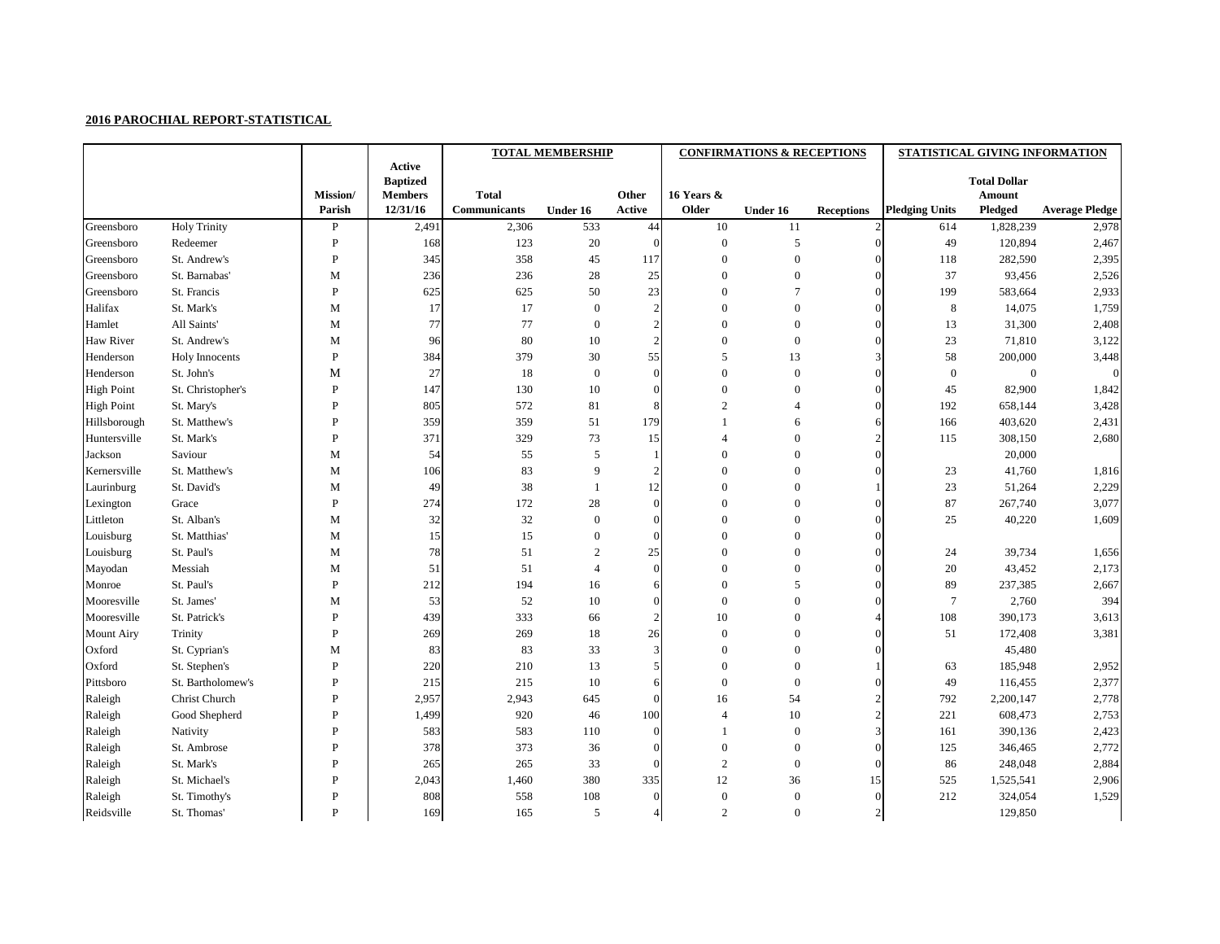|                   |                       |                 |                                   | <b>TOTAL MEMBERSHIP</b> |                 |                |                  | <b>CONFIRMATIONS &amp; RECEPTIONS</b> |                   | STATISTICAL GIVING INFORMATION |                                      |                       |  |
|-------------------|-----------------------|-----------------|-----------------------------------|-------------------------|-----------------|----------------|------------------|---------------------------------------|-------------------|--------------------------------|--------------------------------------|-----------------------|--|
|                   |                       |                 | <b>Active</b>                     |                         |                 |                |                  |                                       |                   |                                |                                      |                       |  |
|                   |                       | <b>Mission/</b> | <b>Baptized</b><br><b>Members</b> | <b>Total</b>            |                 | Other          | 16 Years &       |                                       |                   |                                | <b>Total Dollar</b><br><b>Amount</b> |                       |  |
|                   |                       | Parish          | 12/31/16                          | <b>Communicants</b>     | <b>Under 16</b> | Active         | Older            | Under 16                              | <b>Receptions</b> | <b>Pledging Units</b>          | Pledged                              | <b>Average Pledge</b> |  |
| Greensboro        | <b>Holy Trinity</b>   | $\mathbf{P}$    | 2,491                             | 2,306                   | 533             | 44             | 10               | 11                                    |                   | 614                            | 1,828,239                            | 2,978                 |  |
| Greensboro        | Redeemer              | P               | 168                               | 123                     | 20              | $\Omega$       | $\boldsymbol{0}$ | 5                                     | $\overline{0}$    | 49                             | 120,894                              | 2,467                 |  |
| Greensboro        | St. Andrew's          | $\mathbf{P}$    | 345                               | 358                     | 45              | 117            | $\boldsymbol{0}$ | $\overline{0}$                        | $\Omega$          | 118                            | 282,590                              | 2,395                 |  |
| Greensboro        | St. Barnabas'         | M               | 236                               | 236                     | 28              | 25             | $\theta$         | $\theta$                              | $\mathbf{0}$      | 37                             | 93,456                               | 2,526                 |  |
| Greensboro        | St. Francis           | $\mathbf{P}$    | 625                               | 625                     | 50              | 23             | $\theta$         |                                       | $\Omega$          | 199                            | 583,664                              | 2,933                 |  |
| Halifax           | St. Mark's            | $\mathbf M$     | 17                                | 17                      | $\Omega$        | $\mathcal{D}$  | $\Omega$         | $\theta$                              | $\overline{0}$    | 8                              | 14,075                               | 1,759                 |  |
| Hamlet            | All Saints'           | $\mathbf M$     | 77                                | $77 \,$                 | 0               |                | $\Omega$         | $\overline{0}$                        | $\overline{0}$    | 13                             | 31,300                               | 2,408                 |  |
| Haw River         | St. Andrew's          | M               | 96                                | 80                      | 10              | $\overline{2}$ | $\Omega$         | $\boldsymbol{0}$                      | $\Omega$          | 23                             | 71,810                               | 3,122                 |  |
| Henderson         | <b>Holy Innocents</b> | ${\bf P}$       | 384                               | 379                     | $30\,$          | 55             | 5                | 13                                    | 3                 | 58                             | 200,000                              | 3,448                 |  |
| Henderson         | St. John's            | M               | 27                                | 18                      | $\overline{0}$  |                | $\theta$         | $\theta$                              | $\Omega$          | $\boldsymbol{0}$               | $\boldsymbol{0}$                     | $\overline{0}$        |  |
| <b>High Point</b> | St. Christopher's     | $\mathbf{P}$    | 147                               | 130                     | 10              | $\Omega$       | $\Omega$         | $\Omega$                              | $\mathbf{0}$      | 45                             | 82,900                               | 1,842                 |  |
| <b>High Point</b> | St. Mary's            | P               | 805                               | 572                     | 81              |                | $\overline{2}$   |                                       | $\Omega$          | 192                            | 658,144                              | 3,428                 |  |
| Hillsborough      | St. Matthew's         | P               | 359                               | 359                     | 51              | 179            |                  | 6                                     | 6                 | 166                            | 403,620                              | 2,431                 |  |
| Huntersville      | St. Mark's            | P               | 371                               | 329                     | 73              | 15             |                  | $\theta$                              | $\overline{2}$    | 115                            | 308,150                              | 2,680                 |  |
| Jackson           | Saviour               | M               | 54                                | 55                      | 5               |                | $\Omega$         | $\Omega$                              | $\Omega$          |                                | 20,000                               |                       |  |
| Kernersville      | St. Matthew's         | $\mathbf M$     | 106                               | 83                      | 9               | $\mathcal{D}$  | $\Omega$         | $\theta$                              | $\Omega$          | 23                             | 41,760                               | 1,816                 |  |
| Laurinburg        | St. David's           | M               | 49                                | 38                      |                 | 12             | $\Omega$         | $\overline{0}$                        |                   | 23                             | 51,264                               | 2,229                 |  |
| Lexington         | Grace                 | ${\bf P}$       | 274                               | 172                     | 28              | $\Omega$       | $\Omega$         | $\overline{0}$                        | $\theta$          | 87                             | 267,740                              | 3,077                 |  |
| Littleton         | St. Alban's           | M               | 32                                | $32\,$                  | $\mathbf{0}$    | $\Omega$       | $\Omega$         | $\overline{0}$                        | $\overline{0}$    | 25                             | 40,220                               | 1,609                 |  |
| Louisburg         | St. Matthias'         | M               | 15                                | 15                      | $\overline{0}$  | C              | $\Omega$         | $\overline{0}$                        | $\Omega$          |                                |                                      |                       |  |
| Louisburg         | St. Paul's            | $\mathbf M$     | 78                                | 51                      | $\overline{2}$  | 25             | $\Omega$         | $\boldsymbol{0}$                      | $\mathbf{0}$      | 24                             | 39,734                               | 1,656                 |  |
| Mayodan           | Messiah               | M               | 51                                | 51                      |                 | $\Omega$       | $\Omega$         | $\theta$                              | $\Omega$          | 20                             | 43,452                               | 2,173                 |  |
| Monroe            | St. Paul's            | $\, {\bf P}$    | 212                               | 194                     | 16              |                | $\Omega$         | 5                                     | $\mathbf{0}$      | 89                             | 237,385                              | 2,667                 |  |
| Mooresville       | St. James'            | $\mathbf M$     | 53                                | 52                      | 10              | $\Omega$       | $\Omega$         | $\theta$                              | $\Omega$          | 7                              | 2,760                                | 394                   |  |
| Mooresville       | St. Patrick's         | $\mathbf{P}$    | 439                               | 333                     | 66              | $\overline{2}$ | 10               | $\theta$                              |                   | 108                            | 390,173                              | 3,613                 |  |
| <b>Mount Airy</b> | Trinity               | P               | 269                               | 269                     | 18              | 26             | $\Omega$         | $\overline{0}$                        | $\Omega$          | 51                             | 172,408                              | 3,381                 |  |
| Oxford            | St. Cyprian's         | M               | 83                                | 83                      | 33              |                |                  | $\left($                              |                   |                                | 45,480                               |                       |  |
| Oxford            | St. Stephen's         | ${\bf P}$       | 220                               | 210                     | 13              |                |                  | $\overline{0}$                        |                   | 63                             | 185,948                              | 2,952                 |  |
| Pittsboro         | St. Bartholomew's     | P               | 215                               | 215                     | 10              |                | $\boldsymbol{0}$ | $\mathbf{0}$                          |                   | 49                             | 116,455                              | 2,377                 |  |
| Raleigh           | Christ Church         | $\mathbf{P}$    | 2,957                             | 2,943                   | 645             |                | 16               | 54                                    |                   | 792                            | 2,200,147                            | 2,778                 |  |
| Raleigh           | Good Shepherd         | $\mathbf{P}$    | 1,499                             | 920                     | 46              | 100            | $\overline{4}$   | 10                                    |                   | 221                            | 608,473                              | 2,753                 |  |
| Raleigh           | Nativity              | P               | 583                               | 583                     | 110             |                |                  | $\mathbf{0}$                          |                   | 161                            | 390,136                              | 2,423                 |  |
| Raleigh           | St. Ambrose           | P               | 378                               | 373                     | 36              |                | $\theta$         | $\overline{0}$                        |                   | 125                            | 346,465                              | 2,772                 |  |
| Raleigh           | St. Mark's            | P               | 265                               | 265                     | 33              |                | $\overline{2}$   | $\overline{0}$                        |                   | 86                             | 248,048                              | 2,884                 |  |
| Raleigh           | St. Michael's         | $\mathbf P$     | 2,043                             | 1,460                   | 380             | 335            | 12               | 36                                    | 15                | 525                            | 1,525,541                            | 2,906                 |  |
| Raleigh           | St. Timothy's         | $\mathbf P$     | 808                               | 558                     | 108             | $\Omega$       | $\boldsymbol{0}$ | $\boldsymbol{0}$                      | $\Omega$          | 212                            | 324,054                              | 1,529                 |  |
| Reidsville        | St. Thomas'           | $\mathbf{P}$    | 169                               | 165                     | 5               |                | $\sqrt{2}$       | $\mathbf{0}$                          | 2                 |                                | 129,850                              |                       |  |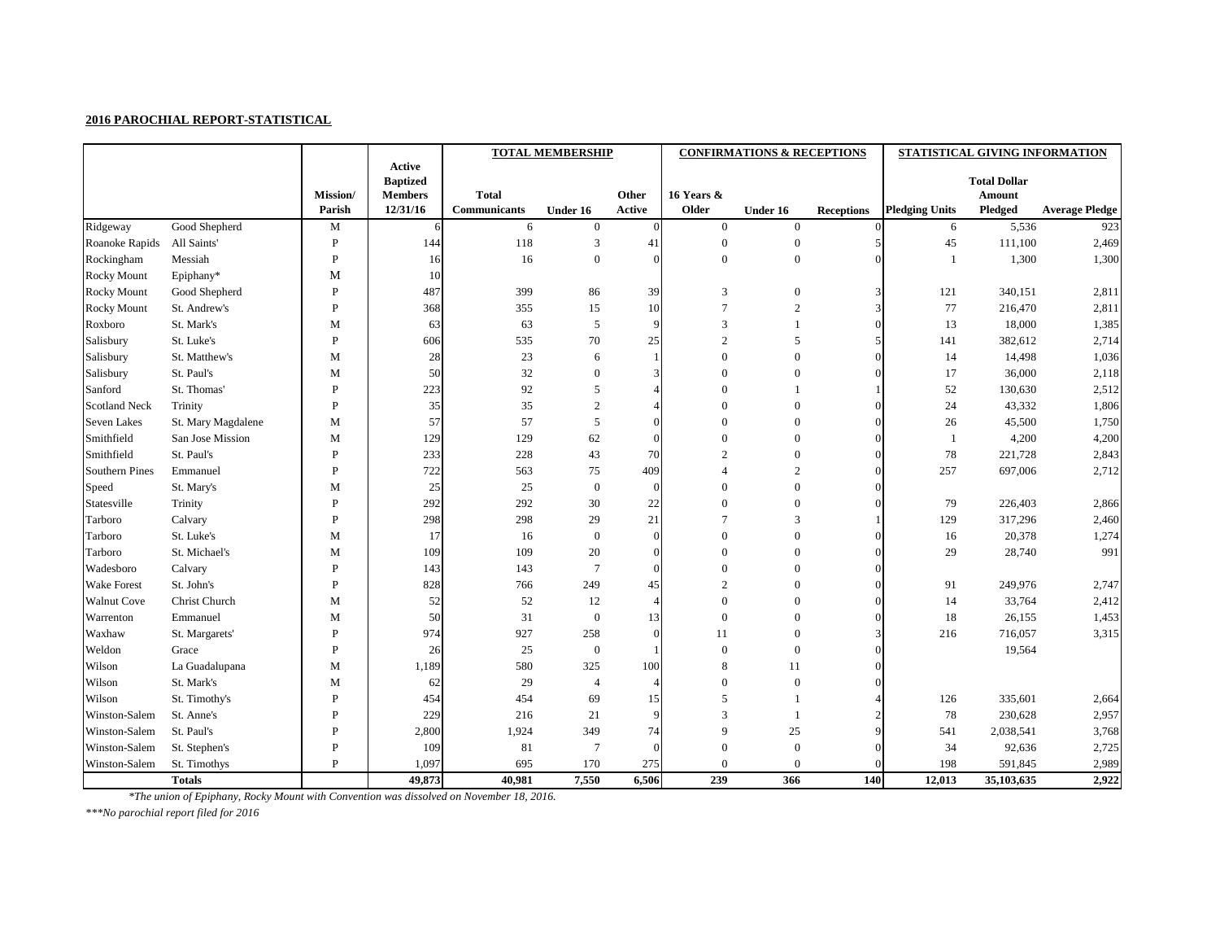|                       |                    |                  |                                   |                     | <b>TOTAL MEMBERSHIP</b> |          |                  | <b>CONFIRMATIONS &amp; RECEPTIONS</b> |                   | STATISTICAL GIVING INFORMATION |                                      |                       |
|-----------------------|--------------------|------------------|-----------------------------------|---------------------|-------------------------|----------|------------------|---------------------------------------|-------------------|--------------------------------|--------------------------------------|-----------------------|
|                       |                    |                  | Active                            |                     |                         |          |                  |                                       |                   |                                |                                      |                       |
|                       |                    | <b>Mission</b> / | <b>Baptized</b><br><b>Members</b> | <b>Total</b>        |                         | Other    | 16 Years &       |                                       |                   |                                | <b>Total Dollar</b><br><b>Amount</b> |                       |
|                       |                    | Parish           | 12/31/16                          | <b>Communicants</b> | <b>Under 16</b>         | Active   | Older            | Under 16                              | <b>Receptions</b> | <b>Pledging Units</b>          | Pledged                              | <b>Average Pledge</b> |
| Ridgeway              | Good Shepherd      | M                | 6                                 | 6                   | $\overline{0}$          | $\theta$ | $\overline{0}$   | $\overline{0}$                        |                   | 6                              | 5,536                                | 923                   |
| Roanoke Rapids        | All Saints'        | P                | 144                               | 118                 | 3                       | 41       | $\boldsymbol{0}$ | $\overline{0}$                        |                   | 45                             | 111,100                              | 2,469                 |
| Rockingham            | Messiah            | P                | 16                                | 16                  | $\theta$                | $\Omega$ | $\boldsymbol{0}$ | $\boldsymbol{0}$                      | $\Omega$          |                                | 1,300                                | 1,300                 |
| <b>Rocky Mount</b>    | Epiphany*          | M                | 10                                |                     |                         |          |                  |                                       |                   |                                |                                      |                       |
| <b>Rocky Mount</b>    | Good Shepherd      | P                | 487                               | 399                 | 86                      | 39       | 3                | $\overline{0}$                        | 3                 | 121                            | 340,151                              | 2,811                 |
| <b>Rocky Mount</b>    | St. Andrew's       | P                | 368                               | 355                 | 15                      | 10       | $\overline{7}$   | $\overline{2}$                        | 3                 | 77                             | 216,470                              | 2,811                 |
| Roxboro               | St. Mark's         | M                | 63                                | 63                  | 5                       | 9        | 3                |                                       | $\Omega$          | 13                             | 18,000                               | 1,385                 |
| Salisbury             | St. Luke's         | P                | 606                               | 535                 | $70\,$                  | $25\,$   | $\mathfrak{2}$   | 5                                     |                   | 141                            | 382,612                              | 2,714                 |
| Salisbury             | St. Matthew's      | M                | 28                                | 23                  | 6                       |          | $\overline{0}$   | $\theta$                              | $\Omega$          | 14                             | 14,498                               | 1,036                 |
| Salisbury             | St. Paul's         | $\mathbf M$      | 50                                | 32                  | $\overline{0}$          |          | $\Omega$         | $\Omega$                              |                   | 17                             | 36,000                               | 2,118                 |
| Sanford               | St. Thomas'        | P                | 223                               | 92                  | 5                       |          | $\theta$         |                                       |                   | 52                             | 130,630                              | 2,512                 |
| <b>Scotland Neck</b>  | Trinity            | P                | 35                                | 35                  | $\overline{2}$          |          | $\overline{0}$   | $\overline{0}$                        |                   | 24                             | 43,332                               | 1,806                 |
| <b>Seven Lakes</b>    | St. Mary Magdalene | M                | 57                                | 57                  | 5                       | $\Omega$ | $\theta$         | $\overline{0}$                        |                   | 26                             | 45,500                               | 1,750                 |
| Smithfield            | San Jose Mission   | M                | 129                               | 129                 | 62                      | $\Omega$ | $\boldsymbol{0}$ | $\theta$                              | $\theta$          |                                | 4,200                                | 4,200                 |
| Smithfield            | St. Paul's         | P                | 233                               | 228                 | 43                      | 70       | $\overline{2}$   | $\overline{0}$                        | $\theta$          | 78                             | 221,728                              | 2,843                 |
| <b>Southern Pines</b> | Emmanuel           | P                | 722                               | 563                 | 75                      | 409      |                  | $\overline{2}$                        | $\Omega$          | 257                            | 697,006                              | 2,712                 |
| Speed                 | St. Mary's         | M                | 25                                | 25                  | $\overline{0}$          | $\Omega$ | $\theta$         | $\overline{0}$                        |                   |                                |                                      |                       |
| Statesville           | Trinity            | P                | 292                               | 292                 | 30                      | $22\,$   | $\theta$         | $\overline{0}$                        |                   | 79                             | 226,403                              | 2,866                 |
| Tarboro               | Calvary            | P                | 298                               | 298                 | 29                      | 21       | $\overline{7}$   | 3                                     |                   | 129                            | 317,296                              | 2,460                 |
| Tarboro               | St. Luke's         | M                | 17                                | 16                  | $\overline{0}$          |          | $\overline{0}$   | $\Omega$                              |                   | 16                             | 20,378                               | 1,274                 |
| Tarboro               | St. Michael's      | M                | 109                               | 109                 | 20                      | $\Omega$ | $\theta$         | $\Omega$                              | $\Omega$          | 29                             | 28,740                               | 991                   |
| Wadesboro             | Calvary            | P                | 143                               | 143                 | $\overline{7}$          | $\Omega$ | $\overline{0}$   | $\theta$                              |                   |                                |                                      |                       |
| <b>Wake Forest</b>    | St. John's         | P                | 828                               | 766                 | 249                     | 45       | $\overline{2}$   | $\overline{0}$                        | $\theta$          | 91                             | 249,976                              | 2,747                 |
| <b>Walnut Cove</b>    | Christ Church      | $\mathbf M$      | 52                                | 52                  | 12                      | $\Delta$ | $\theta$         | $\overline{0}$                        | $\Omega$          | 14                             | 33,764                               | 2,412                 |
| Warrenton             | Emmanuel           | M                | 50                                | 31                  | $\boldsymbol{0}$        | 13       | $\theta$         | $\overline{0}$                        |                   | 18                             | 26,155                               | 1,453                 |
| Waxhaw                | St. Margarets'     | P                | 974                               | 927                 | 258                     | $\Omega$ | 11               | $\boldsymbol{0}$                      |                   | 216                            | 716,057                              | 3,315                 |
| Weldon                | Grace              |                  | 26                                | 25                  | $\overline{0}$          |          |                  | $\overline{0}$                        |                   |                                | 19,564                               |                       |
| Wilson                | La Guadalupana     | $\mathbf M$      | 1,189                             | 580                 | 325                     | 100      | 8                | 11                                    | $\overline{0}$    |                                |                                      |                       |
| Wilson                | St. Mark's         | $\mathbf M$      | 62                                | 29                  | $\overline{4}$          |          | $\boldsymbol{0}$ | $\boldsymbol{0}$                      |                   |                                |                                      |                       |
| Wilson                | St. Timothy's      | $\mathbf{P}$     | 454                               | 454                 | 69                      | 15       | 5                |                                       |                   | 126                            | 335,601                              | 2,664                 |
| Winston-Salem         | St. Anne's         | P                | 229                               | 216                 | 21                      | 9        | 3                |                                       |                   | 78                             | 230,628                              | 2,957                 |
| Winston-Salem         | St. Paul's         | P                | 2,800                             | 1,924               | 349                     | 74       | 9                | 25                                    |                   | 541                            | 2,038,541                            | 3,768                 |
| Winston-Salem         | St. Stephen's      | P                | 109                               | 81                  | $\overline{7}$          | $\Omega$ | $\overline{0}$   | $\boldsymbol{0}$                      |                   | 34                             | 92,636                               | 2,725                 |
| Winston-Salem         | St. Timothys       | P                | 1,097                             | 695                 | 170                     | 275      | $\boldsymbol{0}$ | $\overline{0}$                        |                   | 198                            | 591,845                              | 2,989                 |
|                       | <b>Totals</b>      |                  | 49,873                            | 40,981              | 7,550                   | 6,506    | 239              | 366                                   | 140               | 12,013                         | 35,103,635                           | 2,922                 |

*\*The union of Epiphany, Rocky Mount with Convention was dissolved on November 18, 2016.*

*\*\*\*No parochial report filed for 2016*